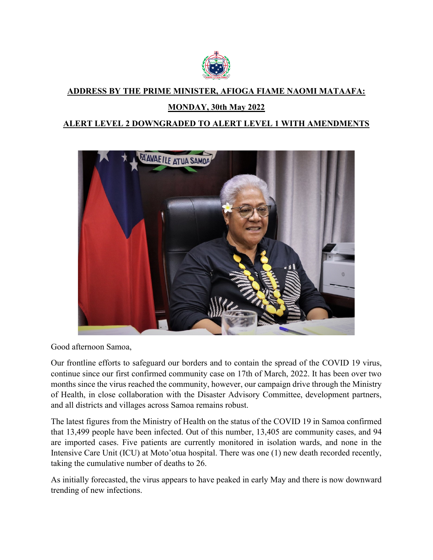

## **ADDRESS BY THE PRIME MINISTER, AFIOGA FIAME NAOMI MATAAFA:**

## **MONDAY, 30th May 2022**

## **ALERT LEVEL 2 DOWNGRADED TO ALERT LEVEL 1 WITH AMENDMENTS**



Good afternoon Samoa,

Our frontline efforts to safeguard our borders and to contain the spread of the COVID 19 virus, continue since our first confirmed community case on 17th of March, 2022. It has been over two months since the virus reached the community, however, our campaign drive through the Ministry of Health, in close collaboration with the Disaster Advisory Committee, development partners, and all districts and villages across Samoa remains robust.

The latest figures from the Ministry of Health on the status of the COVID 19 in Samoa confirmed that 13,499 people have been infected. Out of this number, 13,405 are community cases, and 94 are imported cases. Five patients are currently monitored in isolation wards, and none in the Intensive Care Unit (ICU) at Moto'otua hospital. There was one (1) new death recorded recently, taking the cumulative number of deaths to 26.

As initially forecasted, the virus appears to have peaked in early May and there is now downward trending of new infections.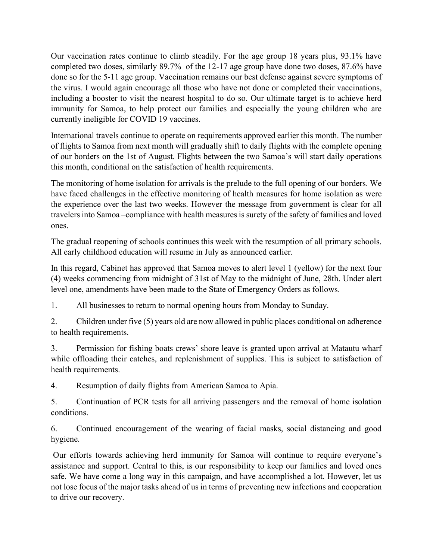Our vaccination rates continue to climb steadily. For the age group 18 years plus, 93.1% have completed two doses, similarly 89.7% of the 12-17 age group have done two doses, 87.6% have done so for the 5-11 age group. Vaccination remains our best defense against severe symptoms of the virus. I would again encourage all those who have not done or completed their vaccinations, including a booster to visit the nearest hospital to do so. Our ultimate target is to achieve herd immunity for Samoa, to help protect our families and especially the young children who are currently ineligible for COVID 19 vaccines.

International travels continue to operate on requirements approved earlier this month. The number of flights to Samoa from next month will gradually shift to daily flights with the complete opening of our borders on the 1st of August. Flights between the two Samoa's will start daily operations this month, conditional on the satisfaction of health requirements.

The monitoring of home isolation for arrivals is the prelude to the full opening of our borders. We have faced challenges in the effective monitoring of health measures for home isolation as were the experience over the last two weeks. However the message from government is clear for all travelers into Samoa –compliance with health measures is surety of the safety of families and loved ones.

The gradual reopening of schools continues this week with the resumption of all primary schools. All early childhood education will resume in July as announced earlier.

In this regard, Cabinet has approved that Samoa moves to alert level 1 (yellow) for the next four (4) weeks commencing from midnight of 31st of May to the midnight of June, 28th. Under alert level one, amendments have been made to the State of Emergency Orders as follows.

1. All businesses to return to normal opening hours from Monday to Sunday.

2. Children under five (5) years old are now allowed in public places conditional on adherence to health requirements.

3. Permission for fishing boats crews' shore leave is granted upon arrival at Matautu wharf while offloading their catches, and replenishment of supplies. This is subject to satisfaction of health requirements.

4. Resumption of daily flights from American Samoa to Apia.

5. Continuation of PCR tests for all arriving passengers and the removal of home isolation conditions.

6. Continued encouragement of the wearing of facial masks, social distancing and good hygiene.

Our efforts towards achieving herd immunity for Samoa will continue to require everyone's assistance and support. Central to this, is our responsibility to keep our families and loved ones safe. We have come a long way in this campaign, and have accomplished a lot. However, let us not lose focus of the major tasks ahead of us in terms of preventing new infections and cooperation to drive our recovery.